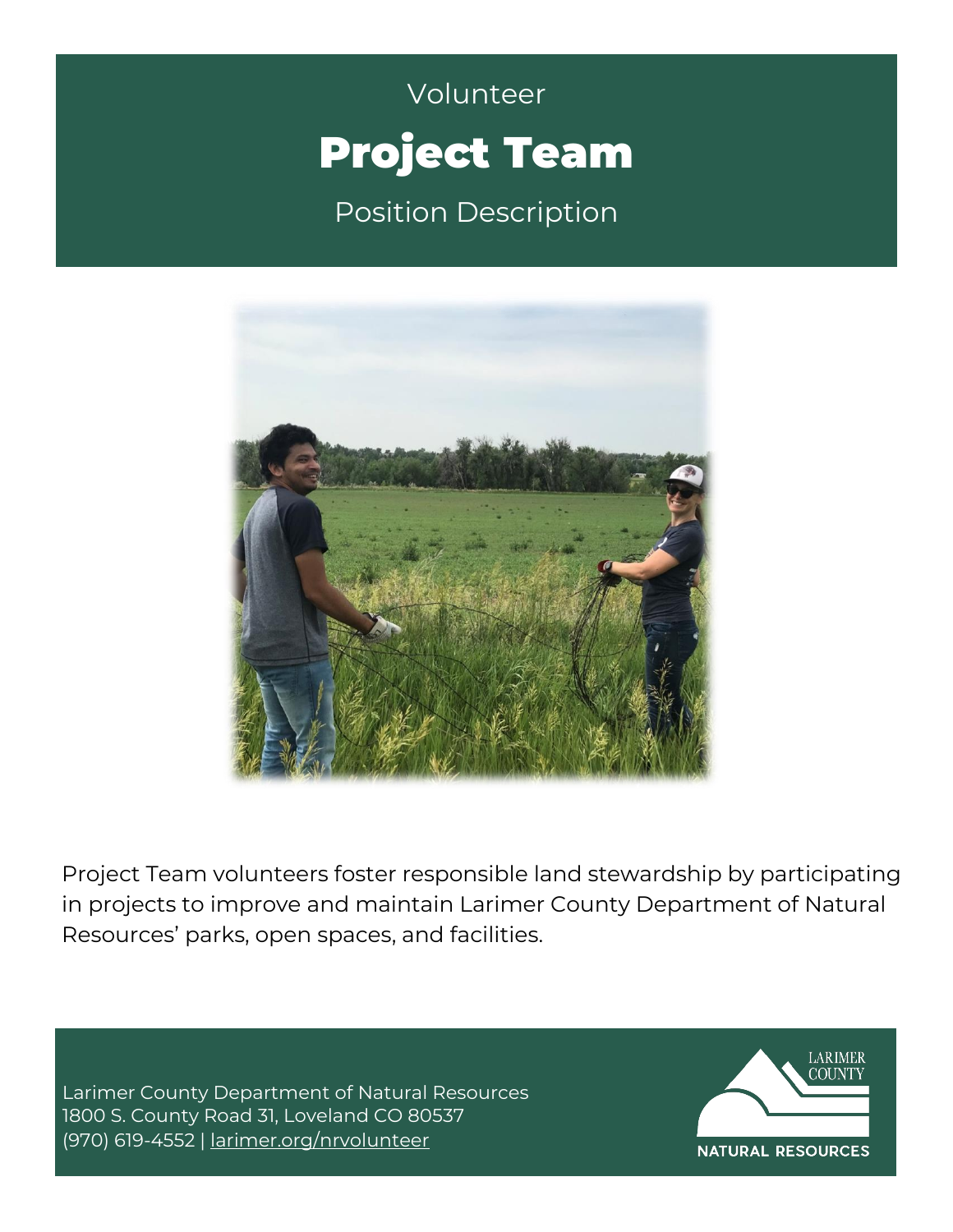# Volunteer **Campbell** Volunteer Project Team

Position Description



Project Team volunteers foster responsible land stewardship by participating in projects to improve and maintain Larimer County Department of Natural Resources' parks, open spaces, and facilities.

Larimer County Department of Natural Resources 1800 S. County Road 31, Loveland CO 80537 (970) 619-4552 | [larimer.org/nrvolunteer](http://www.larimer.org/nrvolunteer)

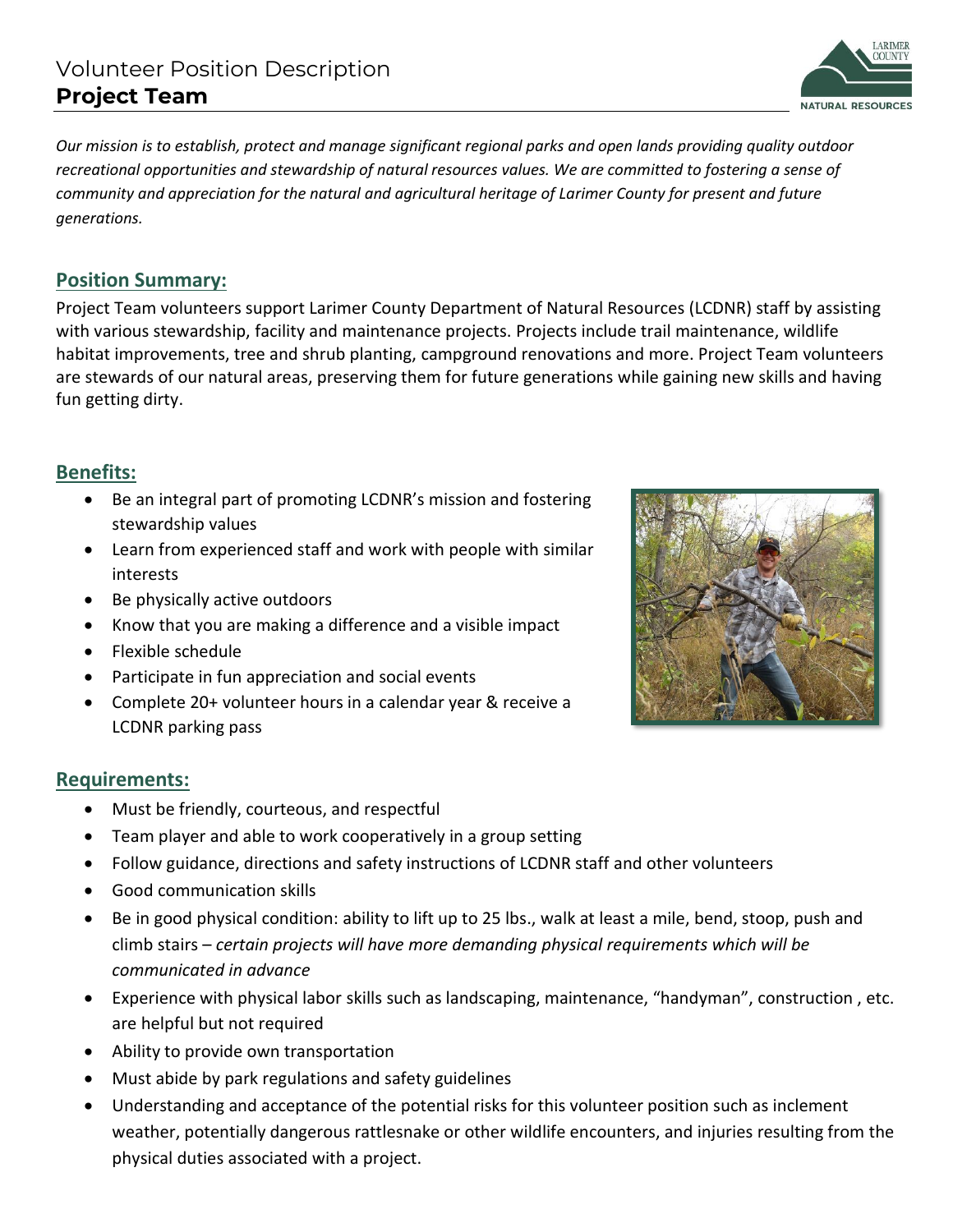### Volunteer Position Description **Project Team**

*Our mission is to establish, protect and manage significant regional parks and open lands providing quality outdoor recreational opportunities and stewardship of natural resources values. We are committed to fostering a sense of community and appreciation for the natural and agricultural heritage of Larimer County for present and future generations.* 

#### **Position Summary:**

Project Team volunteers support Larimer County Department of Natural Resources (LCDNR) staff by assisting with various stewardship, facility and maintenance projects. Projects include trail maintenance, wildlife habitat improvements, tree and shrub planting, campground renovations and more. Project Team volunteers are stewards of our natural areas, preserving them for future generations while gaining new skills and having fun getting dirty.

#### **Benefits:**

- Be an integral part of promoting LCDNR's mission and fostering stewardship values
- Learn from experienced staff and work with people with similar interests
- Be physically active outdoors
- Know that you are making a difference and a visible impact
- Flexible schedule
- Participate in fun appreciation and social events
- Complete 20+ volunteer hours in a calendar year & receive a LCDNR parking pass

#### **Requirements:**

- Must be friendly, courteous, and respectful
- Team player and able to work cooperatively in a group setting
- Follow guidance, directions and safety instructions of LCDNR staff and other volunteers
- Good communication skills
- Be in good physical condition: ability to lift up to 25 lbs., walk at least a mile, bend, stoop, push and climb stairs – *certain projects will have more demanding physical requirements which will be communicated in advance*
- Experience with physical labor skills such as landscaping, maintenance, "handyman", construction , etc. are helpful but not required
- Ability to provide own transportation
- Must abide by park regulations and safety guidelines
- Understanding and acceptance of the potential risks for this volunteer position such as inclement weather, potentially dangerous rattlesnake or other wildlife encounters, and injuries resulting from the physical duties associated with a project.



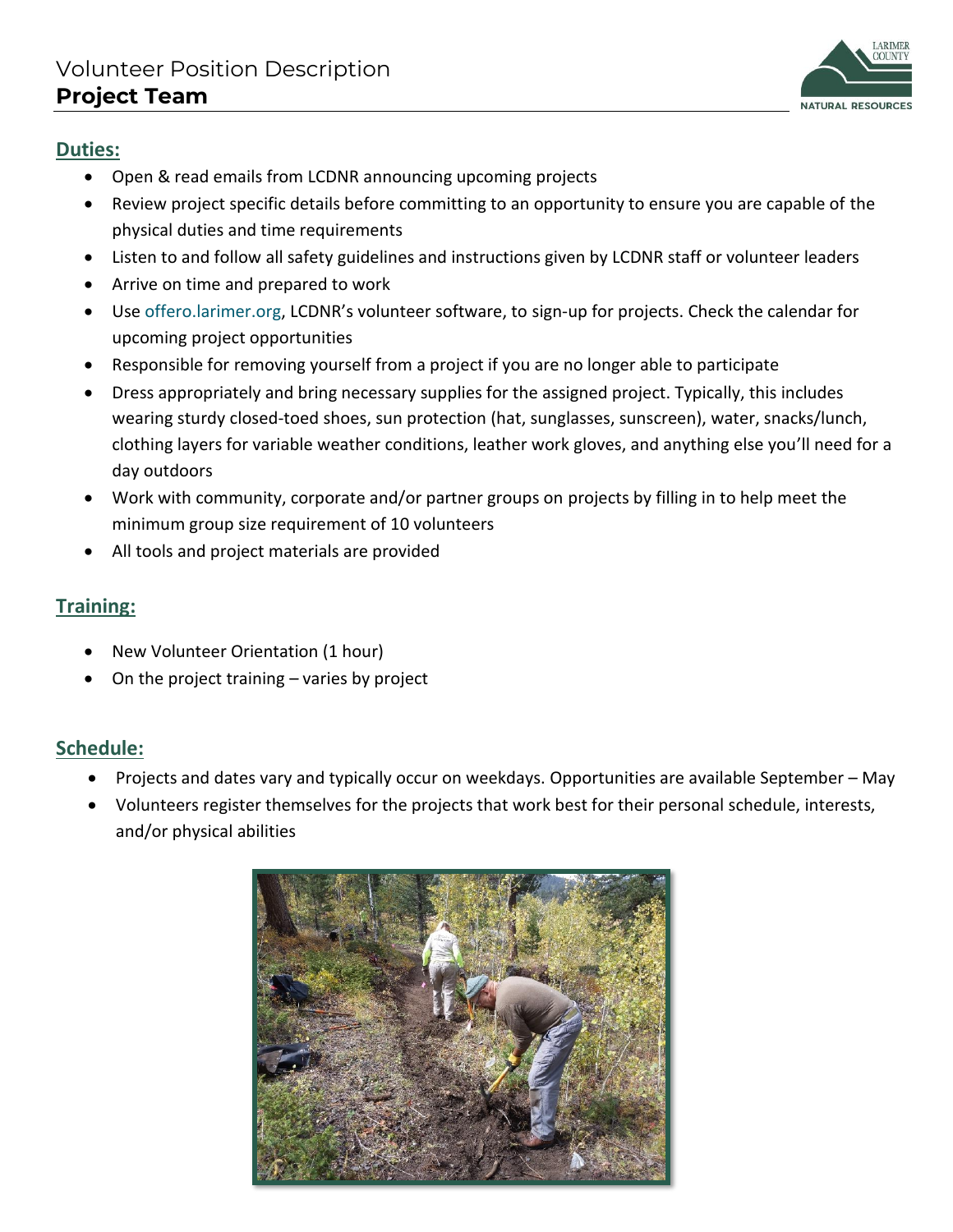

#### **Duties:**

- Open & read emails from LCDNR announcing upcoming projects
- Review project specific details before committing to an opportunity to ensure you are capable of the physical duties and time requirements
- Listen to and follow all safety guidelines and instructions given by LCDNR staff or volunteer leaders
- Arrive on time and prepared to work
- Use offero.larimer.org, LCDNR's volunteer software, to sign-up for projects. Check the calendar for upcoming project opportunities
- Responsible for removing yourself from a project if you are no longer able to participate
- Dress appropriately and bring necessary supplies for the assigned project. Typically, this includes wearing sturdy closed-toed shoes, sun protection (hat, sunglasses, sunscreen), water, snacks/lunch, clothing layers for variable weather conditions, leather work gloves, and anything else you'll need for a day outdoors
- Work with community, corporate and/or partner groups on projects by filling in to help meet the minimum group size requirement of 10 volunteers
- All tools and project materials are provided

### **Training:**

- New Volunteer Orientation (1 hour)
- On the project training varies by project

### **Schedule:**

- Projects and dates vary and typically occur on weekdays. Opportunities are available September May
- Volunteers register themselves for the projects that work best for their personal schedule, interests, and/or physical abilities